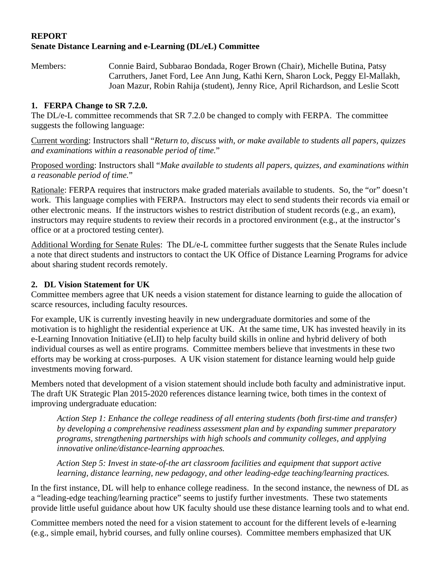### **REPORT Senate Distance Learning and e-Learning (DL/eL) Committee**

Members: Connie Baird, Subbarao Bondada, Roger Brown (Chair), Michelle Butina, Patsy Carruthers, Janet Ford, Lee Ann Jung, Kathi Kern, Sharon Lock, Peggy El-Mallakh, Joan Mazur, Robin Rahija (student), Jenny Rice, April Richardson, and Leslie Scott

### **1. FERPA Change to SR 7.2.0.**

The DL/e-L committee recommends that SR 7.2.0 be changed to comply with FERPA. The committee suggests the following language:

Current wording: Instructors shall "*Return to, discuss with, or make available to students all papers, quizzes and examinations within a reasonable period of time.*"

Proposed wording: Instructors shall "*Make available to students all papers, quizzes, and examinations within a reasonable period of time.*"

Rationale: FERPA requires that instructors make graded materials available to students. So, the "or" doesn't work. This language complies with FERPA. Instructors may elect to send students their records via email or other electronic means. If the instructors wishes to restrict distribution of student records (e.g., an exam), instructors may require students to review their records in a proctored environment (e.g., at the instructor's office or at a proctored testing center).

Additional Wording for Senate Rules: The DL/e-L committee further suggests that the Senate Rules include a note that direct students and instructors to contact the UK Office of Distance Learning Programs for advice about sharing student records remotely.

# **2. DL Vision Statement for UK**

Committee members agree that UK needs a vision statement for distance learning to guide the allocation of scarce resources, including faculty resources.

For example, UK is currently investing heavily in new undergraduate dormitories and some of the motivation is to highlight the residential experience at UK. At the same time, UK has invested heavily in its e-Learning Innovation Initiative (eLII) to help faculty build skills in online and hybrid delivery of both individual courses as well as entire programs. Committee members believe that investments in these two efforts may be working at cross-purposes. A UK vision statement for distance learning would help guide investments moving forward.

Members noted that development of a vision statement should include both faculty and administrative input. The draft UK Strategic Plan 2015-2020 references distance learning twice, both times in the context of improving undergraduate education:

*Action Step 1: Enhance the college readiness of all entering students (both first-time and transfer) by developing a comprehensive readiness assessment plan and by expanding summer preparatory programs, strengthening partnerships with high schools and community colleges, and applying innovative online/distance-learning approaches.* 

*Action Step 5: Invest in state-of-the art classroom facilities and equipment that support active learning, distance learning, new pedagogy, and other leading-edge teaching/learning practices.* 

In the first instance, DL will help to enhance college readiness. In the second instance, the newness of DL as a "leading-edge teaching/learning practice" seems to justify further investments. These two statements provide little useful guidance about how UK faculty should use these distance learning tools and to what end.

Committee members noted the need for a vision statement to account for the different levels of e-learning (e.g., simple email, hybrid courses, and fully online courses). Committee members emphasized that UK